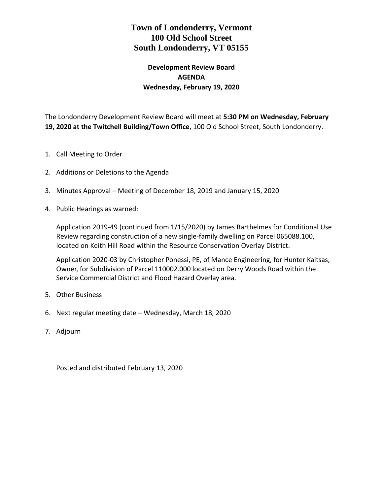# **Town of Londonderry, Vermont 100 Old School Street South Londonderry, VT 05155**

## **Development Review Board AGENDA Wednesday, February 19, 2020**

The Londonderry Development Review Board will meet at **5:30 PM on Wednesday, February 19, 2020 at the Twitchell Building/Town Office**, 100 Old School Street, South Londonderry.

- 1. Call Meeting to Order
- 2. Additions or Deletions to the Agenda
- 3. Minutes Approval Meeting of December 18, 2019 and January 15, 2020
- 4. Public Hearings as warned:

Application 2019-49 (continued from 1/15/2020) by James Barthelmes for Conditional Use Review regarding construction of a new single-family dwelling on Parcel 065088.100, located on Keith Hill Road within the Resource Conservation Overlay District.

Application 2020-03 by Christopher Ponessi, PE, of Mance Engineering, for Hunter Kaltsas, Owner, for Subdivision of Parcel 110002.000 located on Derry Woods Road within the Service Commercial District and Flood Hazard Overlay area.

- 5. Other Business
- 6. Next regular meeting date Wednesday, March 18, 2020
- 7. Adjourn

Posted and distributed February 13, 2020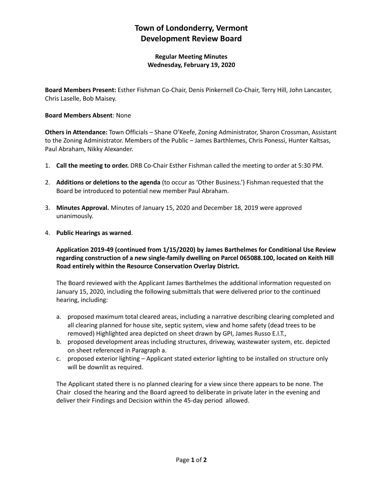# **Town of Londonderry, Vermont Development Review Board**

**Regular Meeting Minutes Wednesday, February 19, 2020**

**Board Members Present:** Esther Fishman Co-Chair, Denis Pinkernell Co-Chair, Terry Hill, John Lancaster, Chris Laselle, Bob Maisey.

#### **Board Members Absent**: None

**Others in Attendance:** Town Officials – Shane O'Keefe, Zoning Administrator, Sharon Crossman, Assistant to the Zoning Administrator. Members of the Public – James Barthlemes, Chris Ponessi, Hunter Kaltsas, Paul Abraham, Nikky Alexander.

- 1. **Call the meeting to order.** DRB Co-Chair Esther Fishman called the meeting to order at 5:30 PM.
- 2. **Additions or deletions to the agenda** (to occur as 'Other Business.') Fishman requested that the Board be introduced to potential new member Paul Abraham.
- 3. **Minutes Approval.** Minutes of January 15, 2020 and December 18, 2019 were approved unanimously.
- 4. **Public Hearings as warned**.

**Application 2019-49 (continued from 1/15/2020) by James Barthelmes for Conditional Use Review regarding construction of a new single-family dwelling on Parcel 065088.100, located on Keith Hill Road entirely within the Resource Conservation Overlay District.** 

The Board reviewed with the Applicant James Barthelmes the additional information requested on January 15, 2020, including the following submittals that were delivered prior to the continued hearing, including:

- a. proposed maximum total cleared areas, including a narrative describing clearing completed and all clearing planned for house site, septic system, view and home safety (dead trees to be removed) Highlighted area depicted on sheet drawn by GPI, James Russo E.I.T.,
- b. proposed development areas including structures, driveway, wastewater system, etc. depicted on sheet referenced in Paragraph a.
- c. proposed exterior lighting Applicant stated exterior lighting to be installed on structure only will be downlit as required.

The Applicant stated there is no planned clearing for a view since there appears to be none. The Chair closed the hearing and the Board agreed to deliberate in private later in the evening and deliver their Findings and Decision within the 45-day period allowed.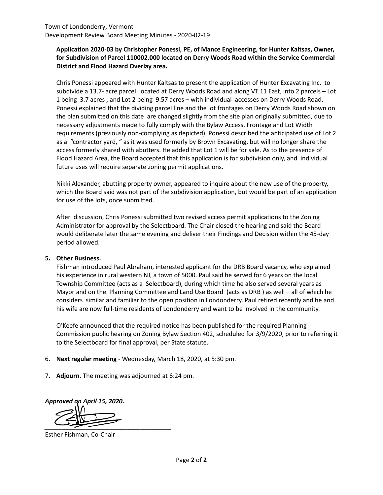## **Application 2020-03 by Christopher Ponessi, PE, of Mance Engineering, for Hunter Kaltsas, Owner, for Subdivision of Parcel 110002.000 located on Derry Woods Road within the Service Commercial District and Flood Hazard Overlay area.**

Chris Ponessi appeared with Hunter Kaltsas to present the application of Hunter Excavating Inc. to subdivide a 13.7- acre parcel located at Derry Woods Road and along VT 11 East, into 2 parcels – Lot 1 being 3.7 acres , and Lot 2 being 9.57 acres – with individual accesses on Derry Woods Road. Ponessi explained that the dividing parcel line and the lot frontages on Derry Woods Road shown on the plan submitted on this date are changed slightly from the site plan originally submitted, due to necessary adjustments made to fully comply with the Bylaw Access, Frontage and Lot Width requirements (previously non-complying as depicted). Ponessi described the anticipated use of Lot 2 as a "contractor yard, " as it was used formerly by Brown Excavating, but will no longer share the access formerly shared with abutters. He added that Lot 1 will be for sale. As to the presence of Flood Hazard Area, the Board accepted that this application is for subdivision only, and individual future uses will require separate zoning permit applications.

Nikki Alexander, abutting property owner, appeared to inquire about the new use of the property, which the Board said was not part of the subdivision application, but would be part of an application for use of the lots, once submitted.

After discussion, Chris Ponessi submitted two revised access permit applications to the Zoning Administrator for approval by the Selectboard. The Chair closed the hearing and said the Board would deliberate later the same evening and deliver their Findings and Decision within the 45-day period allowed.

## **5. Other Business.**

Fishman introduced Paul Abraham, interested applicant for the DRB Board vacancy, who explained his experience in rural western NJ, a town of 5000. Paul said he served for 6 years on the local Township Committee (acts as a Selectboard), during which time he also served several years as Mayor and on the Planning Committee and Land Use Board (acts as DRB ) as well – all of which he considers similar and familiar to the open position in Londonderry. Paul retired recently and he and his wife are now full-time residents of Londonderry and want to be involved in the community.

O'Keefe announced that the required notice has been published for the required Planning Commission public hearing on Zoning Bylaw Section 402, scheduled for 3/9/2020, prior to referring it to the Selectboard for final approval, per State statute.

- 6. **Next regular meeting** Wednesday, March 18, 2020, at 5:30 pm.
- 7. **Adjourn.** The meeting was adjourned at 6:24 pm.

*Approved on April 15, 2020. \_\_\_\_\_\_\_\_\_\_\_\_\_\_\_\_\_\_\_\_\_\_\_\_\_\_\_\_\_\_\_\_\_\_\_\_\_*

Esther Fishman, Co-Chair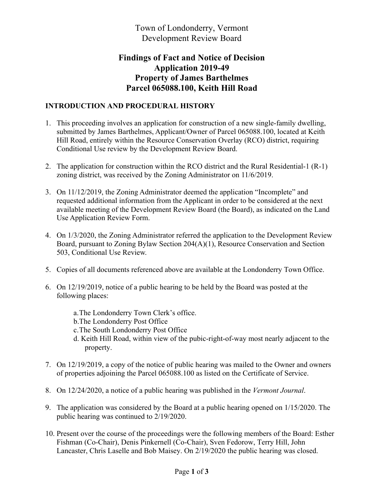Town of Londonderry, Vermont Development Review Board

# **Findings of Fact and Notice of Decision Application 2019-49 Property of James Barthelmes Parcel 065088.100, Keith Hill Road**

## **INTRODUCTION AND PROCEDURAL HISTORY**

- 1. This proceeding involves an application for construction of a new single-family dwelling, submitted by James Barthelmes, Applicant/Owner of Parcel 065088.100, located at Keith Hill Road, entirely within the Resource Conservation Overlay (RCO) district, requiring Conditional Use review by the Development Review Board.
- 2. The application for construction within the RCO district and the Rural Residential-1 (R-1) zoning district, was received by the Zoning Administrator on 11/6/2019.
- 3. On 11/12/2019, the Zoning Administrator deemed the application "Incomplete" and requested additional information from the Applicant in order to be considered at the next available meeting of the Development Review Board (the Board), as indicated on the Land Use Application Review Form.
- 4. On 1/3/2020, the Zoning Administrator referred the application to the Development Review Board, pursuant to Zoning Bylaw Section 204(A)(1), Resource Conservation and Section 503, Conditional Use Review.
- 5. Copies of all documents referenced above are available at the Londonderry Town Office.
- 6. On 12/19/2019, notice of a public hearing to be held by the Board was posted at the following places:
	- a.The Londonderry Town Clerk's office.
	- b.The Londonderry Post Office
	- c.The South Londonderry Post Office
	- d. Keith Hill Road, within view of the pubic-right-of-way most nearly adjacent to the property.
- 7. On 12/19/2019, a copy of the notice of public hearing was mailed to the Owner and owners of properties adjoining the Parcel 065088.100 as listed on the Certificate of Service.
- 8. On 12/24/2020, a notice of a public hearing was published in the *Vermont Journal*.
- 9. The application was considered by the Board at a public hearing opened on 1/15/2020. The public hearing was continued to 2/19/2020.
- 10. Present over the course of the proceedings were the following members of the Board: Esther Fishman (Co-Chair), Denis Pinkernell (Co-Chair), Sven Fedorow, Terry Hill, John Lancaster, Chris Laselle and Bob Maisey. On 2/19/2020 the public hearing was closed.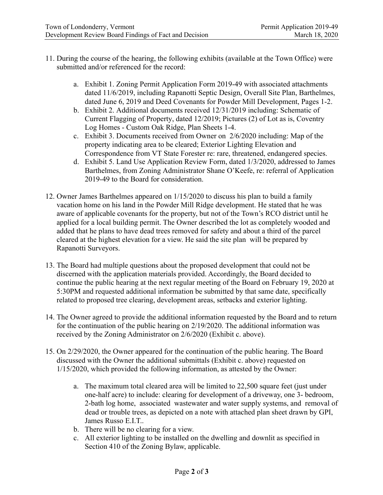- 11. During the course of the hearing, the following exhibits (available at the Town Office) were submitted and/or referenced for the record:
	- a. Exhibit 1. Zoning Permit Application Form 2019-49 with associated attachments dated 11/6/2019, including Rapanotti Septic Design, Overall Site Plan, Barthelmes, dated June 6, 2019 and Deed Covenants for Powder Mill Development, Pages 1-2.
	- b. Exhibit 2. Additional documents received 12/31/2019 including: Schematic of Current Flagging of Property, dated 12/2019; Pictures (2) of Lot as is, Coventry Log Homes - Custom Oak Ridge, Plan Sheets 1-4.
	- c. Exhibit 3. Documents received from Owner on 2/6/2020 including: Map of the property indicating area to be cleared; Exterior Lighting Elevation and Correspondence from VT State Forester re: rare, threatened, endangered species.
	- d. Exhibit 5. Land Use Application Review Form, dated 1/3/2020, addressed to James Barthelmes, from Zoning Administrator Shane O'Keefe, re: referral of Application 2019-49 to the Board for consideration.
- 12. Owner James Barthelmes appeared on 1/15/2020 to discuss his plan to build a family vacation home on his land in the Powder Mill Ridge development. He stated that he was aware of applicable covenants for the property, but not of the Town's RCO district until he applied for a local building permit. The Owner described the lot as completely wooded and added that he plans to have dead trees removed for safety and about a third of the parcel cleared at the highest elevation for a view. He said the site plan will be prepared by Rapanotti Surveyors.
- 13. The Board had multiple questions about the proposed development that could not be discerned with the application materials provided. Accordingly, the Board decided to continue the public hearing at the next regular meeting of the Board on February 19, 2020 at 5:30PM and requested additional information be submitted by that same date, specifically related to proposed tree clearing, development areas, setbacks and exterior lighting.
- 14. The Owner agreed to provide the additional information requested by the Board and to return for the continuation of the public hearing on 2/19/2020. The additional information was received by the Zoning Administrator on 2/6/2020 (Exhibit c. above).
- 15. On 2/29/2020, the Owner appeared for the continuation of the public hearing. The Board discussed with the Owner the additional submittals (Exhibit c. above) requested on 1/15/2020, which provided the following information, as attested by the Owner:
	- a. The maximum total cleared area will be limited to 22,500 square feet (just under one-half acre) to include: clearing for development of a driveway, one 3- bedroom, 2-bath log home, associated wastewater and water supply systems, and removal of dead or trouble trees, as depicted on a note with attached plan sheet drawn by GPI, James Russo E.I.T..
	- b. There will be no clearing for a view.
	- c. All exterior lighting to be installed on the dwelling and downlit as specified in Section 410 of the Zoning Bylaw, applicable.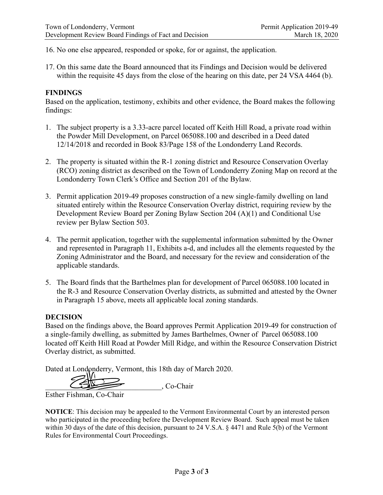16. No one else appeared, responded or spoke, for or against, the application.

17. On this same date the Board announced that its Findings and Decision would be delivered within the requisite 45 days from the close of the hearing on this date, per 24 VSA 4464 (b).

## **FINDINGS**

Based on the application, testimony, exhibits and other evidence, the Board makes the following findings:

- 1. The subject property is a 3.33-acre parcel located off Keith Hill Road, a private road within the Powder Mill Development, on Parcel 065088.100 and described in a Deed dated 12/14/2018 and recorded in Book 83/Page 158 of the Londonderry Land Records.
- 2. The property is situated within the R-1 zoning district and Resource Conservation Overlay (RCO) zoning district as described on the Town of Londonderry Zoning Map on record at the Londonderry Town Clerk's Office and Section 201 of the Bylaw.
- 3. Permit application 2019-49 proposes construction of a new single-family dwelling on land situated entirely within the Resource Conservation Overlay district, requiring review by the Development Review Board per Zoning Bylaw Section 204 (A)(1) and Conditional Use review per Bylaw Section 503.
- 4. The permit application, together with the supplemental information submitted by the Owner and represented in Paragraph 11, Exhibits a-d, and includes all the elements requested by the Zoning Administrator and the Board, and necessary for the review and consideration of the applicable standards.
- 5. The Board finds that the Barthelmes plan for development of Parcel 065088.100 located in the R-3 and Resource Conservation Overlay districts, as submitted and attested by the Owner in Paragraph 15 above, meets all applicable local zoning standards.

## **DECISION**

Based on the findings above, the Board approves Permit Application 2019-49 for construction of a single-family dwelling, as submitted by James Barthelmes, Owner of Parcel 065088.100 located off Keith Hill Road at Powder Mill Ridge, and within the Resource Conservation District Overlay district, as submitted.

Dated at Londonderry, Vermont, this 18th day of March 2020.

\_\_\_\_\_\_\_\_\_\_\_\_\_\_\_\_\_\_\_\_\_\_\_\_\_\_\_\_\_\_\_, Co-Chair

Esther Fishman, Co-Chair

**NOTICE**: This decision may be appealed to the Vermont Environmental Court by an interested person who participated in the proceeding before the Development Review Board. Such appeal must be taken within 30 days of the date of this decision, pursuant to 24 V.S.A. § 4471 and Rule 5(b) of the Vermont Rules for Environmental Court Proceedings.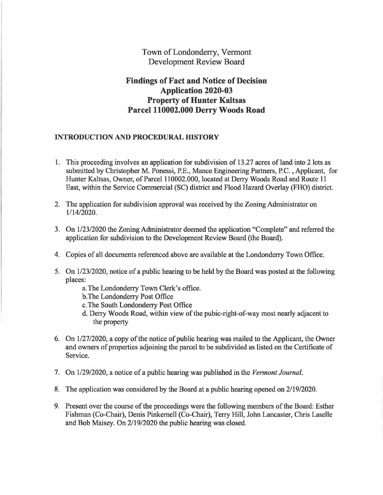## Town of Londonderry, Vermont Development Review Board

## **Findings of Fact and Notice of Decision Application 2020-03 Property of Hunter Kaltsas Parcel 110002.000 Derry Woods Road**

## **INTRODUCTION AND PROCEDURAL HISTORY**

- 1. This proceeding involves an application for subdivision of 13.27 acres of land into 2 lots as submitted by Christopher M. Ponessi, P.E., Mance Engineering Partners, P.C., Applicant, for Hunter Kaltsas, Owner, of Parcel 110002.000, located at Derry Woods Road and Route 11 East, within the Service Commercial (SC) district and Flood Hazard Overlay (FHO) district.
- 2. The application for subdivision approval was received by the Zoning Administrator on 1/14/2020.
- 3. On 1/23/2020 the Zoning Administrator deemed the application "Complete" and referred the application for subdivision to the Development Review Board (the Board).
- 4. Copies of all documents referenced above are available at the Londonderry Town Office.
- *5.* On 1/23/2020, notice of a public hearing to be held by the Board was posted at the following places:
	- a. The Londonderry Town Clerk's office.
	- b. The Londonderry Post Office
	- c. The South Londonderry Post Office
	- d. Derry Woods Road, within view of the pubic-right-of-way most nearly adjacent to the property
- 6. On 1/27/2020, a copy of the notice of public hearing was mailed to the Applicant, the Owner and owners of properties adjoining the parcel to be subdivided as listed on the Certificate of Service.
- 7. On 1/29/2020, a notice of a public hearing was published in the *Vermont Journal.*
- 8. The application was considered by the Board at a public hearing opened on 2/19/2020.
- 9. Present over the course of the proceedings were the following members of the Board: Esther Fishman (Co-Chair), Denis Pinkemell (Co-Chair), Terry Hill, John Lancaster, Chris Laselle and Bob Maisey. On 2/19/2020 the public hearing was closed.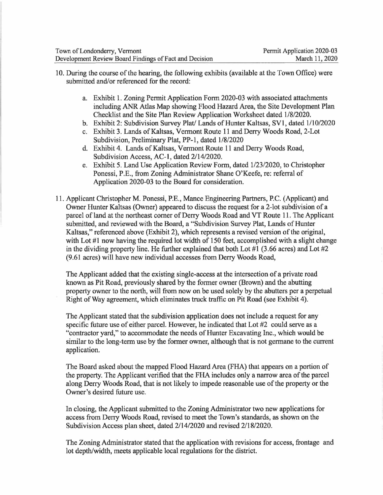- 10. During the course of the hearing, the following exhibits (available at the Town Office) were submitted and/or referenced for the record:
	- a. Exhibit 1. Zoning Permit Application Form 2020-03 with associated attachments including ANR Atlas Map showing Flood Hazard Area, the Site Development Plan Checklist and the Site Plan Review Application Worksheet dated 1/8/2020.
	- b. Exhibit 2: Subdivision Survey Plat/ Lands of Hunter Kaltsas, SVl, dated 1/10/2020
	- c. Exhibit 3. Lands of Kaltsas, Vermont Route 11 and Derry Woods Road, 2-Lot Subdivision, Preliminary Plat, PP-1, dated 1/8/2020
	- d. Exhibit 4. Lands of Kaltsas, Vermont Route 11 and Derry Woods Road, Subdivision Access, AC-1, dated 2/14/2020.
	- e. Exhibit 5. Land Use Application Review Form, dated 1/23/2020, to Christopher Ponessi, P.E., from Zoning Administrator Shane O'Keefe, re: referral of Application 2020-03 to the Board for consideration.
- 11. Applicant Christopher M. Ponessi, P.E., Mance Engineering Partners, P.C. (Applicant) and Owner Hunter Kaltsas (Owner) appeared to discuss the request for a 2-lot subdivision of a parcel of land at the northeast comer of Derry Woods Road and VT Route 11. The Applicant submitted, and reviewed with the Board, a "Subdivision Survey Plat, Lands of Hunter Kaltsas," referenced above (Exhibit 2), which represents a revised version of the original, with Lot  $#1$  now having the required lot width of 150 feet, accomplished with a slight change in the dividing property line. He further explained that both Lot  $\#1$  (3.66 acres) and Lot  $\#2$ (9.61 acres) will have new individual accesses from Derry Woods Road,

The Applicant added that the existing single-access at the intersection of a private road known as Pit Road, previously shared by the former owner (Brown) and the abutting property owner to the north, will from now on be used solely by the abutters per a perpetual Right of Way agreement, which eliminates truck traffic on Pit Road (see Exhibit 4).

The Applicant stated that the subdivision application does not include a request for any specific future use of either parcel. However, he indicated that Lot #2 could serve as a "contractor yard," to accommodate the needs of Hunter Excavating Inc., which would be similar to the long-term use by the former owner, although that is not germane to the current application.

The Board asked about the mapped Flood Hazard Area (FHA) that appears on a portion of the property. The Applicant verified that the FHA includes only a narrow area of the parcel along Derry Woods Road, that is not likely to impede reasonable use of the property or the Owner's desired future use.

In closing, the Applicant submitted to the Zoning Administrator two new applications for access from Derry Woods Road, revised to meet the Town's standards, as shown on the Subdivision Access plan sheet, dated 2/14/2020 and revised 2/18/2020.

The Zoning Administrator stated that the application with revisions for access, frontage and lot depth/width, meets applicable local regulations for the district.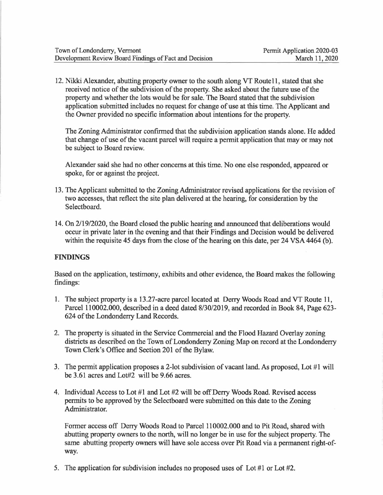12. Nikki Alexander, abutting property owner to the south along VT Route 11, stated that she received notice of the subdivision of the property. She asked about the future use of the property and whether the lots would be for sale. The Board stated that the subdivision application submitted includes no request for change of use at this time. The Applicant and the Owner provided no specific information about intentions for the property.

The Zoning Administrator confirmed that the subdivision application stands alone. He added that change of use of the vacant parcel will require a permit application that may or may not be subject to Board review.

Alexander said she had no other concerns at this time. No one else responded, appeared or spoke, for or against the project.

- 13. The Applicant submitted to the Zoning Administrator revised applications for the revision of two accesses, that reflect the site plan delivered at the hearing, for consideration by the Selectboard.
- 14. On 2/19/2020, the Board closed the public hearing and announced that deliberations would occur in private later in the evening and that their Findings and Decision would be delivered within the requisite 45 days from the close of the hearing on this date, per 24 VSA 4464 (b).

## **FINDINGS**

Based on the application, testimony, exhibits and other evidence, the Board makes the following findings:

- 1. The subject property is a 13 .27-acre parcel located at Derry Woods Road and VT Route 11, Parcel 110002.000, described in a deed dated 8/30/2019, and recorded in Book 84, Page 623- 624 of the Londonderry Land Records.
- 2. The property is situated in the Service Commercial and the Flood Hazard Overlay zoning districts as described on the Town of Londonderry Zoning Map on record at the Londonderry Town Clerk's Office and Section 201 of the Bylaw.
- 3. The permit application proposes a 2-lot subdivision of vacant land. As proposed, Lot #1 will be 3.61 acres and Lot#2 will be 9.66 acres.
- 4. Individual Access to Lot #1 and Lot #2 will be off Derry Woods Road. Revised access permits to be approved by the Selectboard were submitted on this date to the Zoning Administrator.

Former access off Derry Woods Road to Parcel 110002.000 and to Pit Road, shared with abutting property owners to the north, will no longer be in use for the subject property. The same abutting property owners will have sole access over Pit Road via a permanent right-ofway.

5. The application for subdivision includes no proposed uses of Lot #1 or Lot #2.